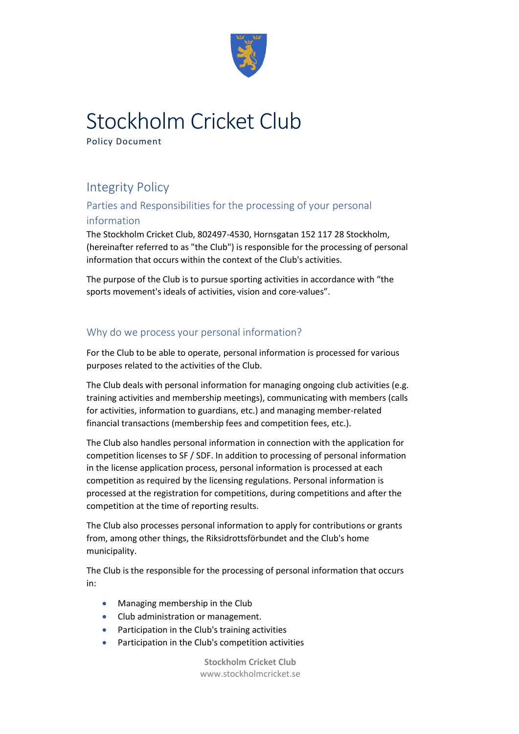

# Stockholm Cricket Club

Policy Document

### Integrity Policy

Parties and Responsibilities for the processing of your personal information

The Stockholm Cricket Club, 802497-4530, Hornsgatan 152 117 28 Stockholm, (hereinafter referred to as "the Club") is responsible for the processing of personal information that occurs within the context of the Club's activities.

The purpose of the Club is to pursue sporting activities in accordance with "the sports movement's ideals of activities, vision and core-values".

#### Why do we process your personal information?

For the Club to be able to operate, personal information is processed for various purposes related to the activities of the Club.

The Club deals with personal information for managing ongoing club activities (e.g. training activities and membership meetings), communicating with members (calls for activities, information to guardians, etc.) and managing member-related financial transactions (membership fees and competition fees, etc.).

The Club also handles personal information in connection with the application for competition licenses to SF / SDF. In addition to processing of personal information in the license application process, personal information is processed at each competition as required by the licensing regulations. Personal information is processed at the registration for competitions, during competitions and after the competition at the time of reporting results.

The Club also processes personal information to apply for contributions or grants from, among other things, the Riksidrottsförbundet and the Club's home municipality.

The Club is the responsible for the processing of personal information that occurs in:

- Managing membership in the Club
- Club administration or management.
- Participation in the Club's training activities
- Participation in the Club's competition activities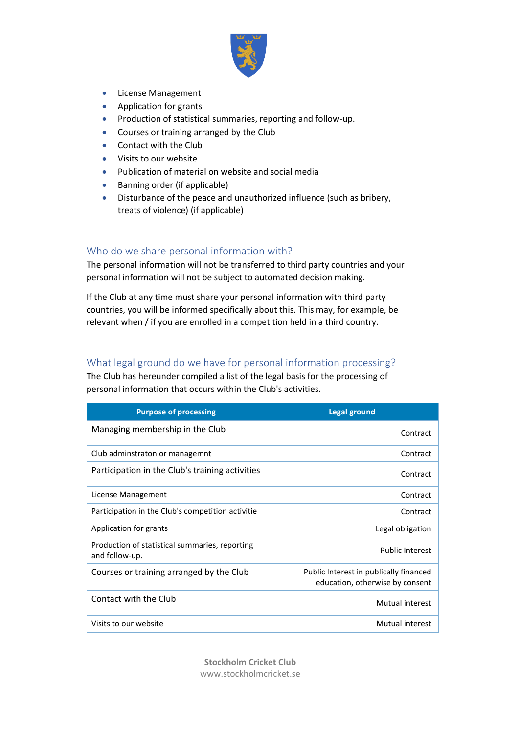

- License Management
- Application for grants
- Production of statistical summaries, reporting and follow-up.
- Courses or training arranged by the Club
- Contact with the Club
- Visits to our website
- Publication of material on website and social media
- Banning order (if applicable)
- Disturbance of the peace and unauthorized influence (such as bribery, treats of violence) (if applicable)

#### Who do we share personal information with?

The personal information will not be transferred to third party countries and your personal information will not be subject to automated decision making.

If the Club at any time must share your personal information with third party countries, you will be informed specifically about this. This may, for example, be relevant when / if you are enrolled in a competition held in a third country.

#### What legal ground do we have for personal information processing?

The Club has hereunder compiled a list of the legal basis for the processing of personal information that occurs within the Club's activities.

| <b>Purpose of processing</b>                                     | <b>Legal ground</b>                                                       |
|------------------------------------------------------------------|---------------------------------------------------------------------------|
| Managing membership in the Club                                  | Contract                                                                  |
| Club adminstraton or managemnt                                   | Contract                                                                  |
| Participation in the Club's training activities                  | Contract                                                                  |
| License Management                                               | Contract                                                                  |
| Participation in the Club's competition activitie                | Contract                                                                  |
| Application for grants                                           | Legal obligation                                                          |
| Production of statistical summaries, reporting<br>and follow-up. | <b>Public Interest</b>                                                    |
| Courses or training arranged by the Club                         | Public Interest in publically financed<br>education, otherwise by consent |
| Contact with the Club                                            | Mutual interest                                                           |
| Visits to our website                                            | Mutual interest                                                           |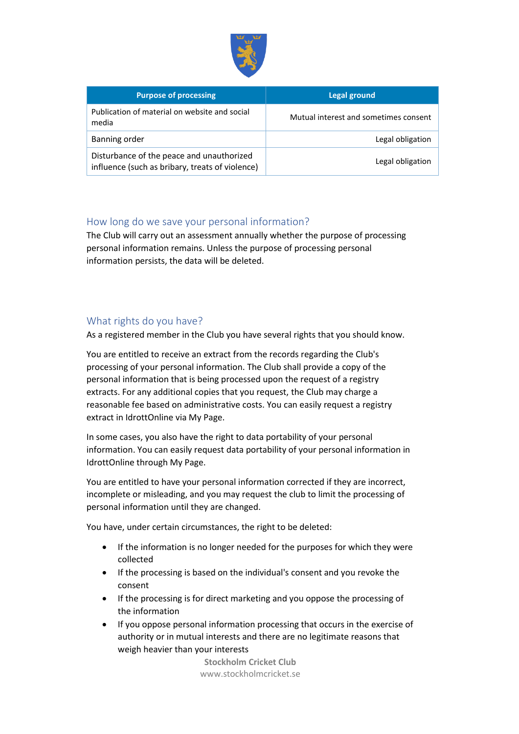

| <b>Purpose of processing</b>                                                                 | Legal ground                          |
|----------------------------------------------------------------------------------------------|---------------------------------------|
| Publication of material on website and social<br>media                                       | Mutual interest and sometimes consent |
| Banning order                                                                                | Legal obligation                      |
| Disturbance of the peace and unauthorized<br>influence (such as bribary, treats of violence) | Legal obligation                      |

#### How long do we save your personal information?

The Club will carry out an assessment annually whether the purpose of processing personal information remains. Unless the purpose of processing personal information persists, the data will be deleted.

#### What rights do you have?

As a registered member in the Club you have several rights that you should know.

You are entitled to receive an extract from the records regarding the Club's processing of your personal information. The Club shall provide a copy of the personal information that is being processed upon the request of a registry extracts. For any additional copies that you request, the Club may charge a reasonable fee based on administrative costs. You can easily request a registry extract in IdrottOnline via My Page.

In some cases, you also have the right to data portability of your personal information. You can easily request data portability of your personal information in IdrottOnline through My Page.

You are entitled to have your personal information corrected if they are incorrect, incomplete or misleading, and you may request the club to limit the processing of personal information until they are changed.

You have, under certain circumstances, the right to be deleted:

- If the information is no longer needed for the purposes for which they were collected
- If the processing is based on the individual's consent and you revoke the consent
- If the processing is for direct marketing and you oppose the processing of the information
- If you oppose personal information processing that occurs in the exercise of authority or in mutual interests and there are no legitimate reasons that weigh heavier than your interests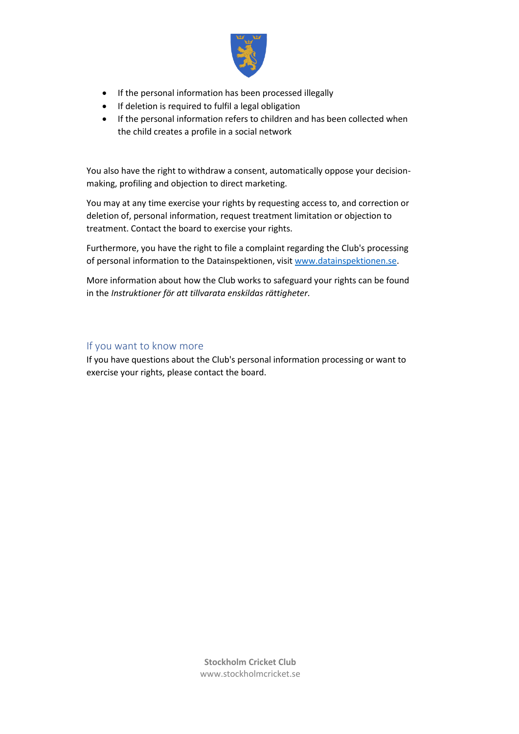

- If the personal information has been processed illegally
- If deletion is required to fulfil a legal obligation
- If the personal information refers to children and has been collected when the child creates a profile in a social network

You also have the right to withdraw a consent, automatically oppose your decisionmaking, profiling and objection to direct marketing.

You may at any time exercise your rights by requesting access to, and correction or deletion of, personal information, request treatment limitation or objection to treatment. Contact the board to exercise your rights.

Furthermore, you have the right to file a complaint regarding the Club's processing of personal information to the Datainspektionen, visit [www.datainspektionen.se.](http://www.datainspektionen.se/)

More information about how the Club works to safeguard your rights can be found in the *Instruktioner för att tillvarata enskildas rättigheter.*

#### If you want to know more

If you have questions about the Club's personal information processing or want to exercise your rights, please contact the board.